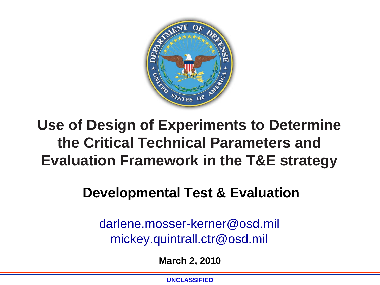

### **Use of Design of Experiments to Determine the Critical Technical Parameters and Evaluation Framework in the T&E strategy**

#### **Developmental Test & Evaluation**

darlene.mosser-kerner@osd.mil mickey.quintrall.ctr@osd.mil

**March 2, 2010** 

**UNCLASSIFIED**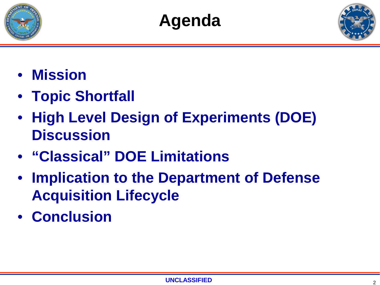





- **Mission**
- **Topic Shortfall**
- **High Level Design of Experiments (DOE) Discussion**
- **"Classical" DOE Limitations**
- **Implication to the Department of Defense Acquisition Lifecycle**
- **Conclusion**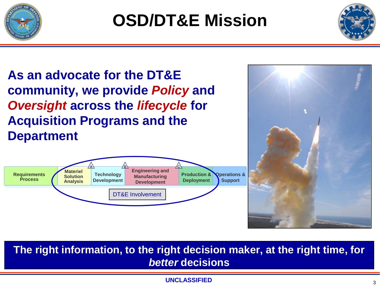



**As an advocate for the DT&E community, we provide** *Policy* **and**  *Oversight* **across the** *lifecycle* **for Acquisition Programs and the Department**





**The right information, to the right decision maker, at the right time, for**  *better* **decisions** 

#### **UNCLASSIFIED**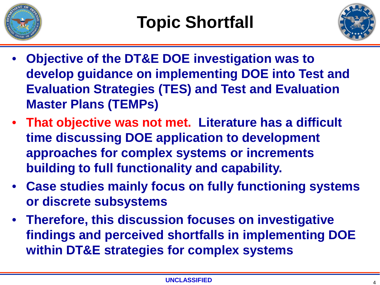



- **Objective of the DT&E DOE investigation was to develop guidance on implementing DOE into Test and Evaluation Strategies (TES) and Test and Evaluation Master Plans (TEMPs)**
- **That objective was not met. Literature has a difficult time discussing DOE application to development approaches for complex systems or increments building to full functionality and capability.**
- **Case studies mainly focus on fully functioning systems or discrete subsystems**
- **Therefore, this discussion focuses on investigative findings and perceived shortfalls in implementing DOE within DT&E strategies for complex systems**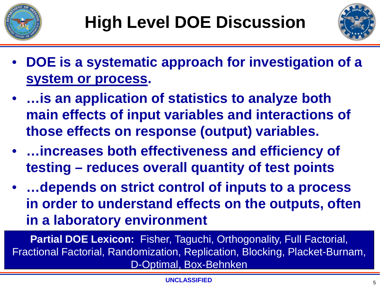



- **DOE is a systematic approach for investigation of a system or process.**
- **…is an application of statistics to analyze both main effects of input variables and interactions of those effects on response (output) variables.**
- **…increases both effectiveness and efficiency of testing – reduces overall quantity of test points**
- **…depends on strict control of inputs to a process in order to understand effects on the outputs, often in a laboratory environment**

**Partial DOE Lexicon:** Fisher, Taguchi, Orthogonality, Full Factorial, Fractional Factorial, Randomization, Replication, Blocking, Placket-Burnam, D-Optimal, Box-Behnken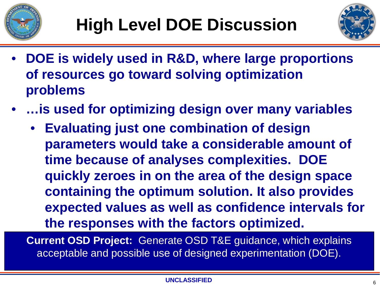



- **DOE is widely used in R&D, where large proportions of resources go toward solving optimization problems**
- **…is used for optimizing design over many variables**
	- **Evaluating just one combination of design parameters would take a considerable amount of time because of analyses complexities. DOE quickly zeroes in on the area of the design space containing the optimum solution. It also provides expected values as well as confidence intervals for the responses with the factors optimized.**

**Current OSD Project:** Generate OSD T&E guidance, which explains acceptable and possible use of designed experimentation (DOE).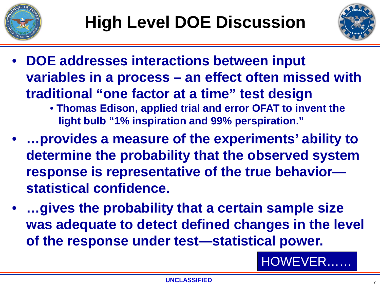



- **DOE addresses interactions between input variables in a process – an effect often missed with traditional "one factor at a time" test design** • **Thomas Edison, applied trial and error OFAT to invent the** 
	- **light bulb "1% inspiration and 99% perspiration."**
- **…provides a measure of the experiments' ability to determine the probability that the observed system response is representative of the true behavior statistical confidence.**
- **…gives the probability that a certain sample size was adequate to detect defined changes in the level of the response under test—statistical power.**

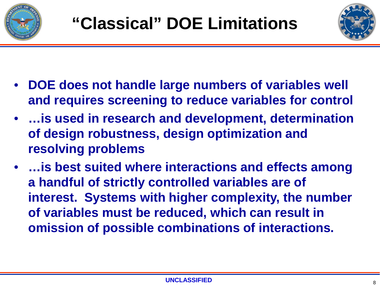



- **DOE does not handle large numbers of variables well and requires screening to reduce variables for control**
- **…is used in research and development, determination of design robustness, design optimization and resolving problems**
- **…is best suited where interactions and effects among a handful of strictly controlled variables are of interest. Systems with higher complexity, the number of variables must be reduced, which can result in omission of possible combinations of interactions.**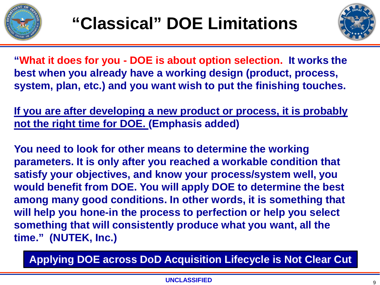



**"What it does for you - DOE is about option selection. It works the best when you already have a working design (product, process, system, plan, etc.) and you want wish to put the finishing touches.** 

**If you are after developing a new product or process, it is probably not the right time for DOE. (Emphasis added)**

**You need to look for other means to determine the working parameters. It is only after you reached a workable condition that satisfy your objectives, and know your process/system well, you would benefit from DOE. You will apply DOE to determine the best among many good conditions. In other words, it is something that will help you hone-in the process to perfection or help you select something that will consistently produce what you want, all the time." (NUTEK, Inc.)**

**Applying DOE across DoD Acquisition Lifecycle is Not Clear Cut**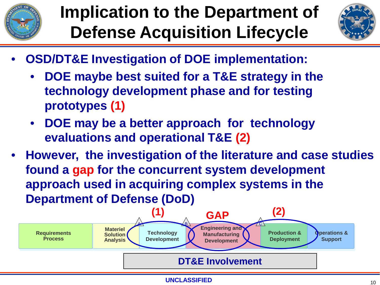

# **Implication to the Department of Defense Acquisition Lifecycle**



- **OSD/DT&E Investigation of DOE implementation:**
	- **DOE maybe best suited for a T&E strategy in the technology development phase and for testing prototypes (1)**
	- **DOE may be a better approach for technology evaluations and operational T&E (2)**
- **However, the investigation of the literature and case studies found a gap for the concurrent system development approach used in acquiring complex systems in the Department of Defense (DoD)**

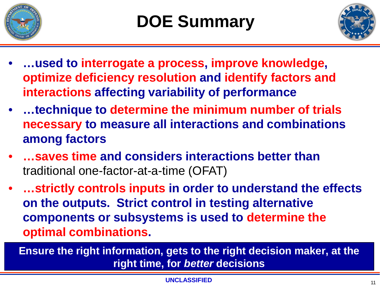



- **…used to interrogate a process, improve knowledge, optimize deficiency resolution and identify factors and interactions affecting variability of performance**
- **…technique to determine the minimum number of trials necessary to measure all interactions and combinations among factors**
- **…saves time and considers interactions better than**  traditional one-factor-at-a-time (OFAT)
- **…strictly controls inputs in order to understand the effects on the outputs. Strict control in testing alternative components or subsystems is used to determine the optimal combinations.**

**Ensure the right information, gets to the right decision maker, at the right time, for** *better* **decisions**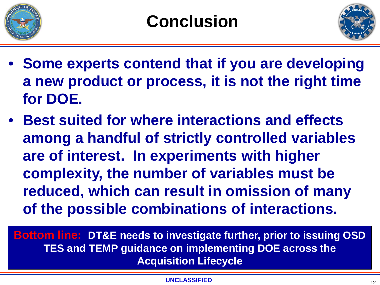



- **Some experts contend that if you are developing a new product or process, it is not the right time for DOE.**
- **Best suited for where interactions and effects among a handful of strictly controlled variables are of interest. In experiments with higher complexity, the number of variables must be reduced, which can result in omission of many of the possible combinations of interactions.**

**Bottom line: DT&E needs to investigate further, prior to issuing OSD TES and TEMP guidance on implementing DOE across the Acquisition Lifecycle**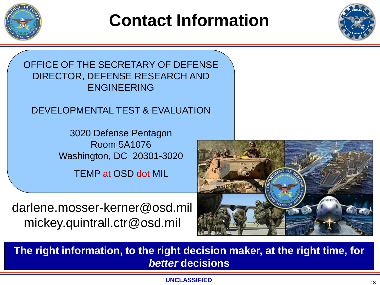

## **Contact Information**



OFFICE OF THE SECRETARY OF DEFENSE DIRECTOR, DEFENSE RESEARCH AND ENGINEERING

#### DEVELOPMENTAL TEST & EVALUATION

3020 Defense Pentagon Room 5A1076 Washington, DC 20301-3020

TEMP at OSD dot MIL

darlene.mosser-kerner@osd.mil mickey.quintrall.ctr@osd.mil



**The right information, to the right decision maker, at the right time, for**  *better* **decisions**

**UNCLASSIFIED** 13